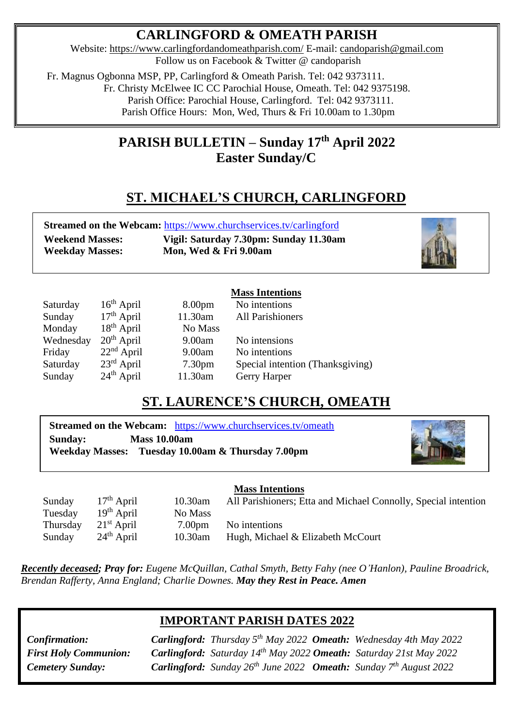# **CARLINGFORD & OMEATH PARISH**

Website:<https://www.carlingfordandomeathparish.com/> E-mail: [candoparish@gmail.com](mailto:candoparish@gmail.com) Follow us on Facebook & Twitter @ candoparish

 Fr. Magnus Ogbonna MSP, PP, Carlingford & Omeath Parish. Tel: 042 9373111. Fr. Christy McElwee IC CC Parochial House, Omeath. Tel: 042 9375198. Parish Office: Parochial House, Carlingford. Tel: 042 9373111. Parish Office Hours: Mon, Wed, Thurs & Fri 10.00am to 1.30pm

# **PARISH BULLETIN – Sunday 17 th April 2022 Easter Sunday/C**

# **ST. MICHAEL'S CHURCH, CARLINGFORD**

| Streamed on the Webcam: https://www.churchservices.tv/carlingford |                                        |  |  |
|-------------------------------------------------------------------|----------------------------------------|--|--|
| <b>Weekend Masses:</b>                                            | Vigil: Saturday 7.30pm: Sunday 11.30am |  |  |
| <b>Weekday Masses:</b>                                            | Mon, Wed & Fri 9.00am                  |  |  |



|           |                        |                    | <b>Mass Intentions</b>           |
|-----------|------------------------|--------------------|----------------------------------|
| Saturday  | $16th$ April           | 8.00 <sub>pm</sub> | No intentions                    |
| Sunday    | $17th$ April           | 11.30am            | <b>All Parishioners</b>          |
| Monday    | $18th$ April           | No Mass            |                                  |
| Wednesday | $20th$ April           | 9.00am             | No intensions                    |
| Friday    | $22nd$ April           | 9.00am             | No intentions                    |
| Saturday  | $23^{\text{rd}}$ April | 7.30 <sub>pm</sub> | Special intention (Thanksgiving) |
| Sunday    | $24th$ April           | 11.30am            | Gerry Harper                     |

## **ST. LAURENCE'S CHURCH, OMEATH**

**Streamed on the Webcam:** <https://www.churchservices.tv/omeath> **Sunday: Mass 10.00am Weekday Masses: Tuesday 10.00am & Thursday 7.00pm**



**Mass Intentions**

Sunday 17<sup>th</sup> April 10.30am All Parishioners; Etta and Michael Connolly, Special intention Tuesday 19<sup>th</sup> April No Mass Thursday 21  $21<sup>st</sup>$  April 7.00pm No intentions 24<sup>th</sup> April 10.30am Hugh, Michael & Elizabeth McCourt **Sunday** 

*Recently deceased; Pray for: Eugene McQuillan, Cathal Smyth, Betty Fahy (nee O'Hanlon), Pauline Broadrick, Brendan Rafferty, Anna England; Charlie Downes. May they Rest in Peace. Amen*  

## **IMPORTANT PARISH DATES 2022**

**Cemetery Sunday: Carlingford:** Sunday 26<sup>th</sup> June 2022 **Omeath:** Sunday 7<sup>th</sup> August 2022 *Confirmation: Carlingford: Thursday 5th May 2022 Omeath: Wednesday 4th May 2022 First Holy Communion: Carlingford: Saturday 14 th May 2022 Omeath: Saturday 21st May 2022*